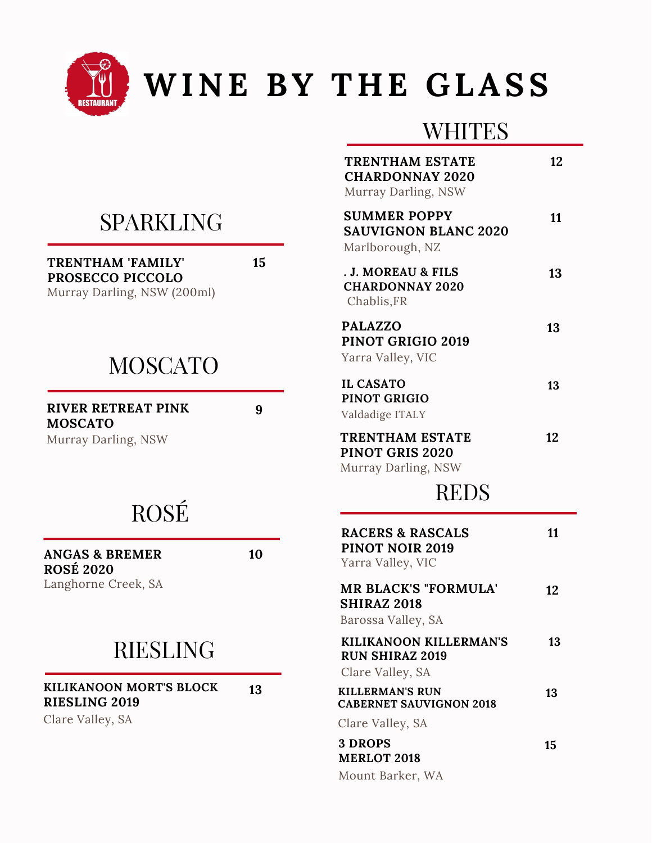

# **WINE BY T H E GLASS**

#### **WHITES**

| TRENTHAM ESTATE<br><b>CHARDONNAY 2020</b><br>Murray Darling, NSW           | 12 |
|----------------------------------------------------------------------------|----|
| <b>SUMMER POPPY</b><br><b>SAUVIGNON BLANC 2020</b><br>Marlborough, NZ      | 11 |
| . J. MOREAU & FILS<br><b>CHARDONNAY 2020</b><br>Chablis, FR                | 13 |
| <b>PALAZZO</b><br>PINOT GRIGIO 2019<br>Yarra Valley, VIC                   | 13 |
| <b>IL CASATO</b><br>PINOT GRIGIO<br>Valdadige ITALY                        | 13 |
| <b>TRENTHAM ESTATE</b><br><b>PINOT GRIS 2020</b><br>Murray Darling, NSW    | 12 |
| <b>REDS</b>                                                                |    |
| <b>RACERS &amp; RASCALS</b><br><b>PINOT NOIR 2019</b><br>Yarra Valley, VIC | 11 |
| <b>MR BLACK'S "FORMULA"</b><br><b>SHIRAZ 2018</b><br>Barossa Valley, SA    | 12 |
| KILIKANOON KILLERMAN'S<br><b>RUN SHIRAZ 2019</b><br>Clare Valley, SA       | 13 |
| <b>KILLERMAN'S RUN</b><br><b>CABERNET SAUVIGNON 2018</b>                   | 13 |
| Clare Valley, SA                                                           |    |
| <b>3 DROPS</b><br><b>MERLOT 2018</b>                                       | 15 |
| Mount Barker, WA                                                           |    |

## SPARKLING

**TRENTHAM 'FAMILY' PROSECCO PICCOLO**

Murray Darling, NSW (200ml)

### **MOSCATO**

**RIVER RETREAT PINK MOSCATO**

Murray Darling, NSW

# ROSÉ

**ANGAS & BREMER ROSÉ 2020**

**10**

**9**

**15**

Langhorne Creek, SA

RIESLING

**KILIKANOON MORT'S BLOCK RIESLING 2019**

Clare Valley, SA

**13**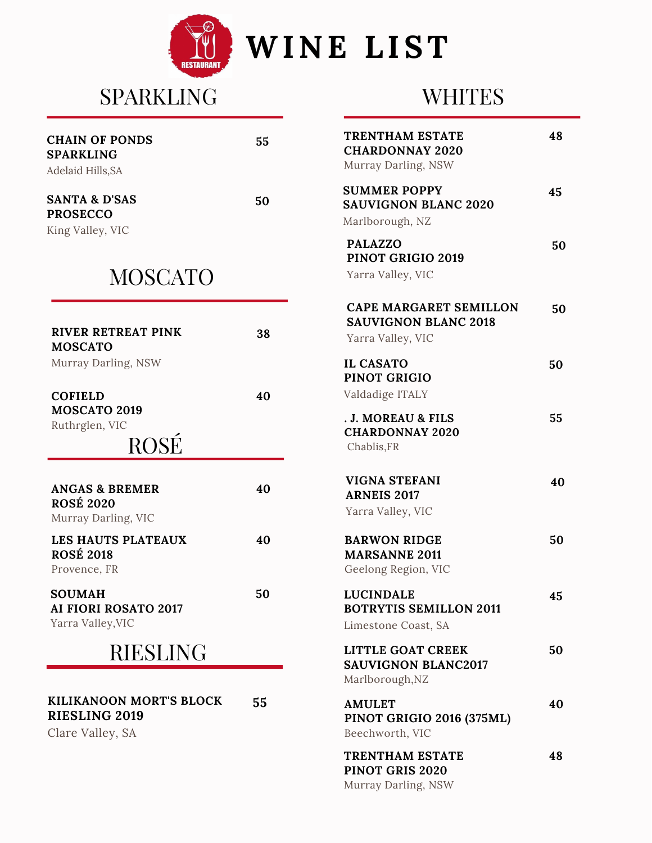

# SPARKLING

### **WHITES**

| <b>CHAIN OF PONDS</b><br><b>SPARKLING</b><br>Adelaid Hills, SA       | 55 | <b>TRENTHAM ESTATE</b><br><b>CHARDONNAY 2020</b><br>Murray Darling, NSW           | 48 |
|----------------------------------------------------------------------|----|-----------------------------------------------------------------------------------|----|
| <b>SANTA &amp; D'SAS</b><br><b>PROSECCO</b><br>King Valley, VIC      | 50 | <b>SUMMER POPPY</b><br><b>SAUVIGNON BLANC 2020</b><br>Marlborough, NZ             | 45 |
| <b>MOSCATO</b>                                                       |    | <b>PALAZZO</b><br>PINOT GRIGIO 2019<br>Yarra Valley, VIC                          | 50 |
| <b>RIVER RETREAT PINK</b><br><b>MOSCATO</b>                          | 38 | <b>CAPE MARGARET SEMILLON</b><br><b>SAUVIGNON BLANC 2018</b><br>Yarra Valley, VIC | 50 |
| Murray Darling, NSW                                                  |    | <b>IL CASATO</b><br><b>PINOT GRIGIO</b>                                           | 50 |
| <b>COFIELD</b><br><b>MOSCATO 2019</b><br>Ruthrglen, VIC<br>ROSÉ      | 40 | Valdadige ITALY<br>. J. MOREAU & FILS<br><b>CHARDONNAY 2020</b><br>Chablis, FR    | 55 |
| <b>ANGAS &amp; BREMER</b><br><b>ROSÉ 2020</b><br>Murray Darling, VIC | 40 | <b>VIGNA STEFANI</b><br><b>ARNEIS 2017</b><br>Yarra Valley, VIC                   | 40 |
| LES HAUTS PLATEAUX<br><b>ROSÉ 2018</b><br>Provence, FR               | 40 | <b>BARWON RIDGE</b><br><b>MARSANNE 2011</b><br>Geelong Region, VIC                | 50 |
| <b>SOUMAH</b><br><b>AI FIORI ROSATO 2017</b><br>Yarra Valley, VIC    | 50 | <b>LUCINDALE</b><br><b>BOTRYTIS SEMILLON 2011</b><br>Limestone Coast, SA          | 45 |
| <b>RIESLING</b>                                                      |    | <b>LITTLE GOAT CREEK</b><br><b>SAUVIGNON BLANC2017</b><br>Marlborough, NZ         | 50 |
| KILIKANOON MORT'S BLOCK<br><b>RIESLING 2019</b><br>Clare Valley, SA  | 55 | <b>AMULET</b><br>PINOT GRIGIO 2016 (375ML)<br>Beechworth, VIC                     | 40 |
|                                                                      |    | TRENTHAM ESTATE<br>PINOT GRIS 2020<br>Murray Darling, NSW                         | 48 |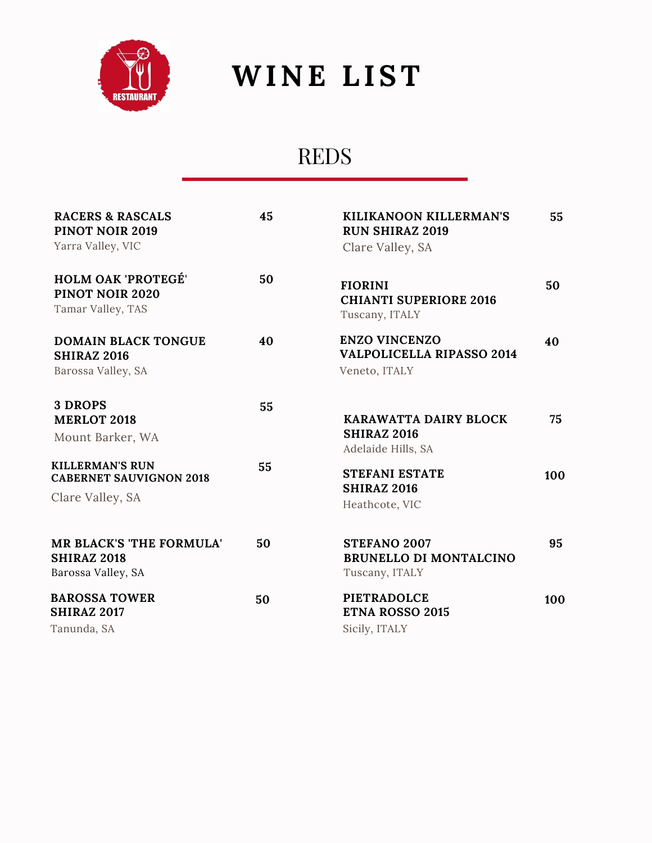

# **WINE LIST**

# REDS

| <b>RACERS &amp; RASCALS</b><br><b>PINOT NOIR 2019</b><br>Yarra Valley, VIC   | 45 | KILIKANOON KILLERMAN'S<br><b>RUN SHIRAZ 2019</b><br>Clare Valley, SA      | 55  |
|------------------------------------------------------------------------------|----|---------------------------------------------------------------------------|-----|
| <b>HOLM OAK 'PROTEGÉ'</b><br>PINOT NOIR 2020<br>Tamar Valley, TAS            | 50 | <b>FIORINI</b><br><b>CHIANTI SUPERIORE 2016</b><br>Tuscany, ITALY         | 50  |
| <b>DOMAIN BLACK TONGUE</b><br><b>SHIRAZ 2016</b><br>Barossa Valley, SA       | 40 | <b>ENZO VINCENZO</b><br><b>VALPOLICELLA RIPASSO 2014</b><br>Veneto, ITALY | 40  |
| 3 DROPS<br><b>MERLOT 2018</b><br>Mount Barker, WA                            | 55 | KARAWATTA DAIRY BLOCK<br><b>SHIRAZ 2016</b><br>Adelaide Hills, SA         | 75  |
| <b>KILLERMAN'S RUN</b><br><b>CABERNET SAUVIGNON 2018</b><br>Clare Valley, SA | 55 | <b>STEFANI ESTATE</b><br><b>SHIRAZ 2016</b><br>Heathcote, VIC             | 100 |
| <b>MR BLACK'S 'THE FORMULA'</b><br><b>SHIRAZ 2018</b><br>Barossa Valley, SA  | 50 | <b>STEFANO 2007</b><br><b>BRUNELLO DI MONTALCINO</b><br>Tuscany, ITALY    | 95  |
| <b>BAROSSA TOWER</b><br><b>SHIRAZ 2017</b><br>Tanunda, SA                    | 50 | <b>PIETRADOLCE</b><br><b>ETNA ROSSO 2015</b><br>Sicily, ITALY             | 100 |